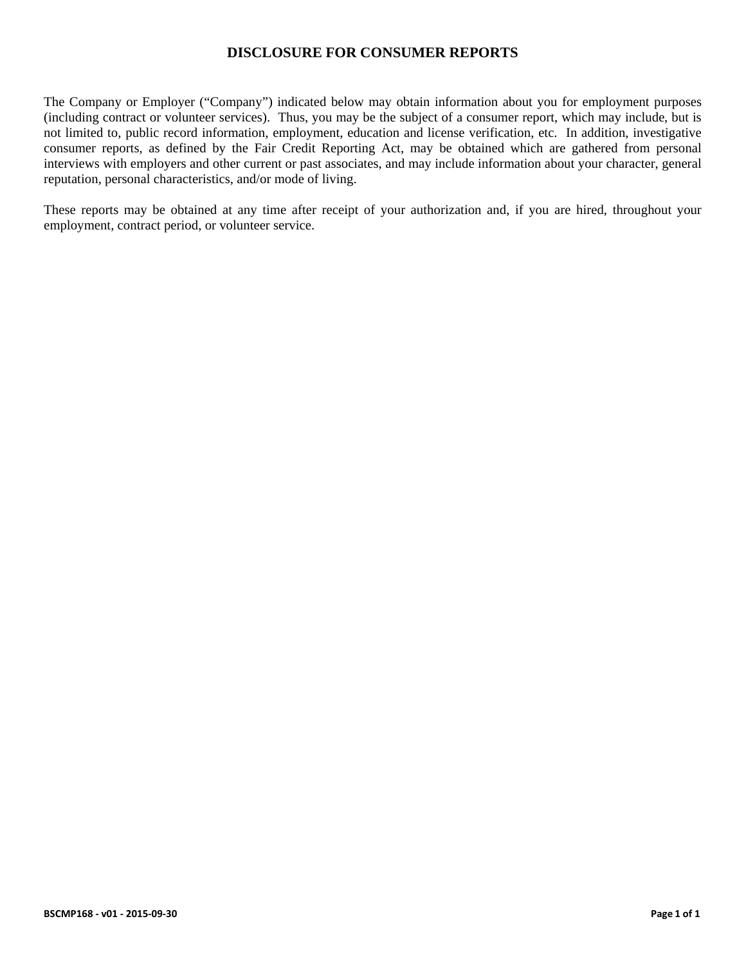# **DISCLOSURE FOR CONSUMER REPORTS**

The Company or Employer ("Company") indicated below may obtain information about you for employment purposes (including contract or volunteer services). Thus, you may be the subject of a consumer report, which may include, but is not limited to, public record information, employment, education and license verification, etc. In addition, investigative consumer reports, as defined by the Fair Credit Reporting Act, may be obtained which are gathered from personal interviews with employers and other current or past associates, and may include information about your character, general reputation, personal characteristics, and/or mode of living.

These reports may be obtained at any time after receipt of your authorization and, if you are hired, throughout your employment, contract period, or volunteer service.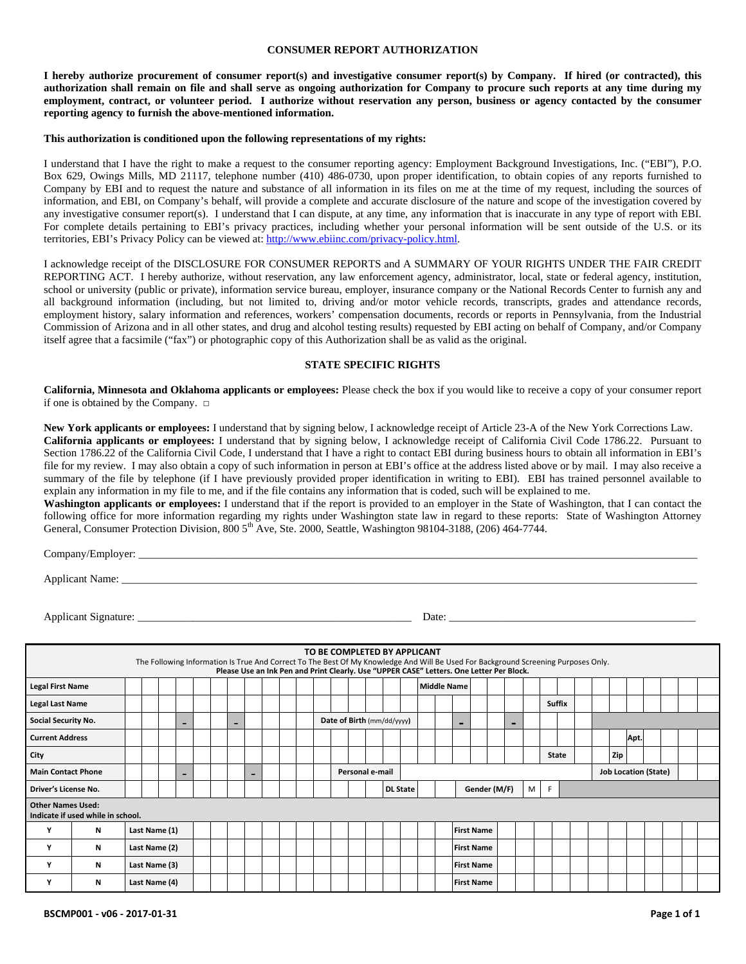#### **CONSUMER REPORT AUTHORIZATION**

**I hereby authorize procurement of consumer report(s) and investigative consumer report(s) by Company. If hired (or contracted), this authorization shall remain on file and shall serve as ongoing authorization for Company to procure such reports at any time during my employment, contract, or volunteer period. I authorize without reservation any person, business or agency contacted by the consumer reporting agency to furnish the above-mentioned information.**

#### **This authorization is conditioned upon the following representations of my rights:**

I understand that I have the right to make a request to the consumer reporting agency: Employment Background Investigations, Inc. ("EBI"), P.O. Box 629, Owings Mills, MD 21117, telephone number (410) 486-0730, upon proper identification, to obtain copies of any reports furnished to Company by EBI and to request the nature and substance of all information in its files on me at the time of my request, including the sources of information, and EBI, on Company's behalf, will provide a complete and accurate disclosure of the nature and scope of the investigation covered by any investigative consumer report(s). I understand that I can dispute, at any time, any information that is inaccurate in any type of report with EBI. For complete details pertaining to EBI's privacy practices, including whether your personal information will be sent outside of the U.S. or its territories, EBI's Privacy Policy can be viewed at[: http://www.ebiinc.com/privacy-policy.html.](http://www.ebiinc.com/privacy-policy.html) 

I acknowledge receipt of the DISCLOSURE FOR CONSUMER REPORTS and A SUMMARY OF YOUR RIGHTS UNDER THE FAIR CREDIT REPORTING ACT. I hereby authorize, without reservation, any law enforcement agency, administrator, local, state or federal agency, institution, school or university (public or private), information service bureau, employer, insurance company or the National Records Center to furnish any and all background information (including, but not limited to, driving and/or motor vehicle records, transcripts, grades and attendance records, employment history, salary information and references, workers' compensation documents, records or reports in Pennsylvania, from the Industrial Commission of Arizona and in all other states, and drug and alcohol testing results) requested by EBI acting on behalf of Company, and/or Company itself agree that a facsimile ("fax") or photographic copy of this Authorization shall be as valid as the original.

#### **STATE SPECIFIC RIGHTS**

**California, Minnesota and Oklahoma applicants or employees:** Please check the box if you would like to receive a copy of your consumer report if one is obtained by the Company.  $\Box$ 

**New York applicants or employees:** I understand that by signing below, I acknowledge receipt of Article 23-A of the New York Corrections Law. **California applicants or employees:** I understand that by signing below, I acknowledge receipt of California Civil Code 1786.22. Pursuant to Section 1786.22 of the California Civil Code, I understand that I have a right to contact EBI during business hours to obtain all information in EBI's file for my review. I may also obtain a copy of such information in person at EBI's office at the address listed above or by mail. I may also receive a summary of the file by telephone (if I have previously provided proper identification in writing to EBI). EBI has trained personnel available to explain any information in my file to me, and if the file contains any information that is coded, such will be explained to me.

**Washington applicants or employees:** I understand that if the report is provided to an employer in the State of Washington, that I can contact the following office for more information regarding my rights under Washington state law in regard to these reports: State of Washington Attorney General, Consumer Protection Division, 800 5<sup>th</sup> Ave, Ste. 2000, Seattle, Washington 98104-3188, (206) 464-7744.

Company/Employer: \_

Applicant Name:

Applicant Signature: \_\_\_\_\_\_\_\_\_\_\_\_\_\_\_\_\_\_\_\_\_\_\_\_\_\_\_\_\_\_\_\_\_\_\_\_\_\_\_\_\_\_\_\_\_\_\_\_\_\_ Date: \_\_\_\_\_\_\_\_\_\_\_\_\_\_\_\_\_\_\_\_\_\_\_\_\_\_\_\_\_\_\_\_\_\_\_\_\_\_\_\_\_\_\_\_\_

|                           |                                   |  |               |   |  |                          |  |  |  |                            |                 |                 | TO BE COMPLETED BY APPLICANT |                         |  |                   | The Following Information Is True And Correct To The Best Of My Knowledge And Will Be Used For Background Screening Purposes Only.<br>Please Use an Ink Pen and Print Clearly. Use "UPPER CASE" Letters. One Letter Per Block. |  |  |  |               |  |     |      |  |  |  |  |
|---------------------------|-----------------------------------|--|---------------|---|--|--------------------------|--|--|--|----------------------------|-----------------|-----------------|------------------------------|-------------------------|--|-------------------|--------------------------------------------------------------------------------------------------------------------------------------------------------------------------------------------------------------------------------|--|--|--|---------------|--|-----|------|--|--|--|--|
| <b>Legal First Name</b>   |                                   |  |               |   |  |                          |  |  |  |                            |                 |                 |                              | <b>Middle Name</b>      |  |                   |                                                                                                                                                                                                                                |  |  |  |               |  |     |      |  |  |  |  |
| <b>Legal Last Name</b>    |                                   |  |               |   |  |                          |  |  |  |                            |                 |                 |                              |                         |  |                   |                                                                                                                                                                                                                                |  |  |  | <b>Suffix</b> |  |     |      |  |  |  |  |
| Social Security No.       |                                   |  |               | - |  | $\overline{\phantom{0}}$ |  |  |  | Date of Birth (mm/dd/yyyy) |                 |                 |                              | -                       |  |                   |                                                                                                                                                                                                                                |  |  |  |               |  |     |      |  |  |  |  |
| <b>Current Address</b>    |                                   |  |               |   |  |                          |  |  |  |                            |                 |                 |                              |                         |  |                   |                                                                                                                                                                                                                                |  |  |  |               |  |     | Apt. |  |  |  |  |
| City                      |                                   |  |               |   |  |                          |  |  |  |                            |                 |                 |                              |                         |  |                   |                                                                                                                                                                                                                                |  |  |  | <b>State</b>  |  | Zip |      |  |  |  |  |
| <b>Main Contact Phone</b> |                                   |  | -             |   |  | $\overline{\phantom{a}}$ |  |  |  |                            | Personal e-mail |                 | <b>Job Location (State)</b>  |                         |  |                   |                                                                                                                                                                                                                                |  |  |  |               |  |     |      |  |  |  |  |
| Driver's License No.      |                                   |  |               |   |  |                          |  |  |  |                            |                 | <b>DL State</b> |                              | Gender (M/F)<br>F.<br>M |  |                   |                                                                                                                                                                                                                                |  |  |  |               |  |     |      |  |  |  |  |
| <b>Other Names Used:</b>  | Indicate if used while in school. |  |               |   |  |                          |  |  |  |                            |                 |                 |                              |                         |  |                   |                                                                                                                                                                                                                                |  |  |  |               |  |     |      |  |  |  |  |
| Υ                         | N                                 |  | Last Name (1) |   |  |                          |  |  |  |                            |                 |                 |                              |                         |  | <b>First Name</b> |                                                                                                                                                                                                                                |  |  |  |               |  |     |      |  |  |  |  |
| Y                         | N                                 |  | Last Name (2) |   |  |                          |  |  |  |                            |                 |                 |                              |                         |  | <b>First Name</b> |                                                                                                                                                                                                                                |  |  |  |               |  |     |      |  |  |  |  |
| Υ                         | N                                 |  | Last Name (3) |   |  |                          |  |  |  |                            |                 |                 |                              |                         |  | <b>First Name</b> |                                                                                                                                                                                                                                |  |  |  |               |  |     |      |  |  |  |  |
|                           |                                   |  |               |   |  |                          |  |  |  |                            |                 |                 |                              |                         |  |                   |                                                                                                                                                                                                                                |  |  |  |               |  |     |      |  |  |  |  |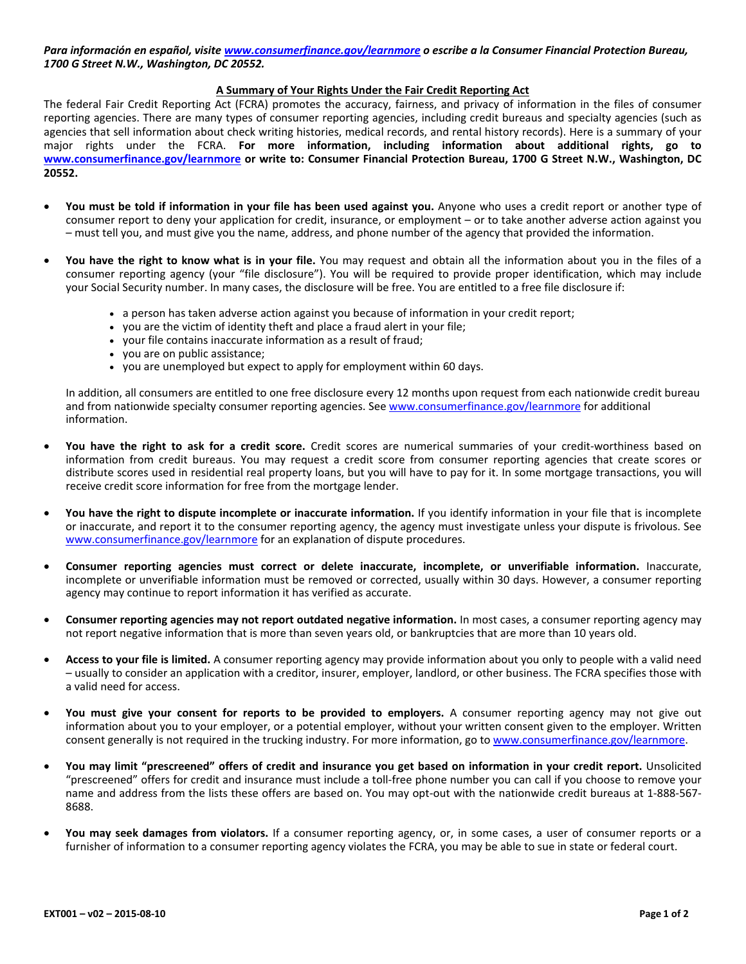*Para información en español, visite [www.consumerfinance.gov/learnmore](http://www.consumerfinance.gov/learnmore) o escribe a la Consumer Financial Protection Bureau, 1700 G Street N.W., Washington, DC 20552.*

### **A Summary of Your Rights Under the Fair Credit Reporting Act**

The federal Fair Credit Reporting Act (FCRA) promotes the accuracy, fairness, and privacy of information in the files of consumer reporting agencies. There are many types of consumer reporting agencies, including credit bureaus and specialty agencies (such as agencies that sell information about check writing histories, medical records, and rental history records). Here is a summary of your major rights under the FCRA. **For more information, including information about additional rights, go to [www.consumerfinance.gov/learnmore](http://www.consumerfinance.gov/learnmore) or write to: Consumer Financial Protection Bureau, 1700 G Street N.W., Washington, DC 20552.**

- **You must be told if information in your file has been used against you.** Anyone who uses a credit report or another type of consumer report to deny your application for credit, insurance, or employment – or to take another adverse action against you – must tell you, and must give you the name, address, and phone number of the agency that provided the information.
- **You have the right to know what is in your file.** You may request and obtain all the information about you in the files of a consumer reporting agency (your "file disclosure"). You will be required to provide proper identification, which may include your Social Security number. In many cases, the disclosure will be free. You are entitled to a free file disclosure if:
	- a person has taken adverse action against you because of information in your credit report;
	- you are the victim of identity theft and place a fraud alert in your file;
	- your file contains inaccurate information as a result of fraud;
	- you are on public assistance;
	- you are unemployed but expect to apply for employment within 60 days.

In addition, all consumers are entitled to one free disclosure every 12 months upon request from each nationwide credit bureau and from nationwide specialty consumer reporting agencies. Se[e www.consumerfinance.gov/learnmore](http://www.consumerfinance.gov/learnmore) for additional information.

- **You have the right to ask for a credit score.** Credit scores are numerical summaries of your credit-worthiness based on information from credit bureaus. You may request a credit score from consumer reporting agencies that create scores or distribute scores used in residential real property loans, but you will have to pay for it. In some mortgage transactions, you will receive credit score information for free from the mortgage lender.
- **You have the right to dispute incomplete or inaccurate information.** If you identify information in your file that is incomplete or inaccurate, and report it to the consumer reporting agency, the agency must investigate unless your dispute is frivolous. See [www.consumerfinance.gov/learnmore](http://www.consumerfinance.gov/learnmore) for an explanation of dispute procedures.
- **Consumer reporting agencies must correct or delete inaccurate, incomplete, or unverifiable information.** Inaccurate, incomplete or unverifiable information must be removed or corrected, usually within 30 days. However, a consumer reporting agency may continue to report information it has verified as accurate.
- **Consumer reporting agencies may not report outdated negative information.** In most cases, a consumer reporting agency may not report negative information that is more than seven years old, or bankruptcies that are more than 10 years old.
- **Access to your file is limited.** A consumer reporting agency may provide information about you only to people with a valid need – usually to consider an application with a creditor, insurer, employer, landlord, or other business. The FCRA specifies those with a valid need for access.
- **You must give your consent for reports to be provided to employers.** A consumer reporting agency may not give out information about you to your employer, or a potential employer, without your written consent given to the employer. Written consent generally is not required in the trucking industry. For more information, go to [www.consumerfinance.gov/learnmore.](http://www.consumerfinance.gov/learnmore)
- **You may limit "prescreened" offers of credit and insurance you get based on information in your credit report.** Unsolicited "prescreened" offers for credit and insurance must include a toll-free phone number you can call if you choose to remove your name and address from the lists these offers are based on. You may opt-out with the nationwide credit bureaus at 1-888-567- 8688.
- **You may seek damages from violators.** If a consumer reporting agency, or, in some cases, a user of consumer reports or a furnisher of information to a consumer reporting agency violates the FCRA, you may be able to sue in state or federal court.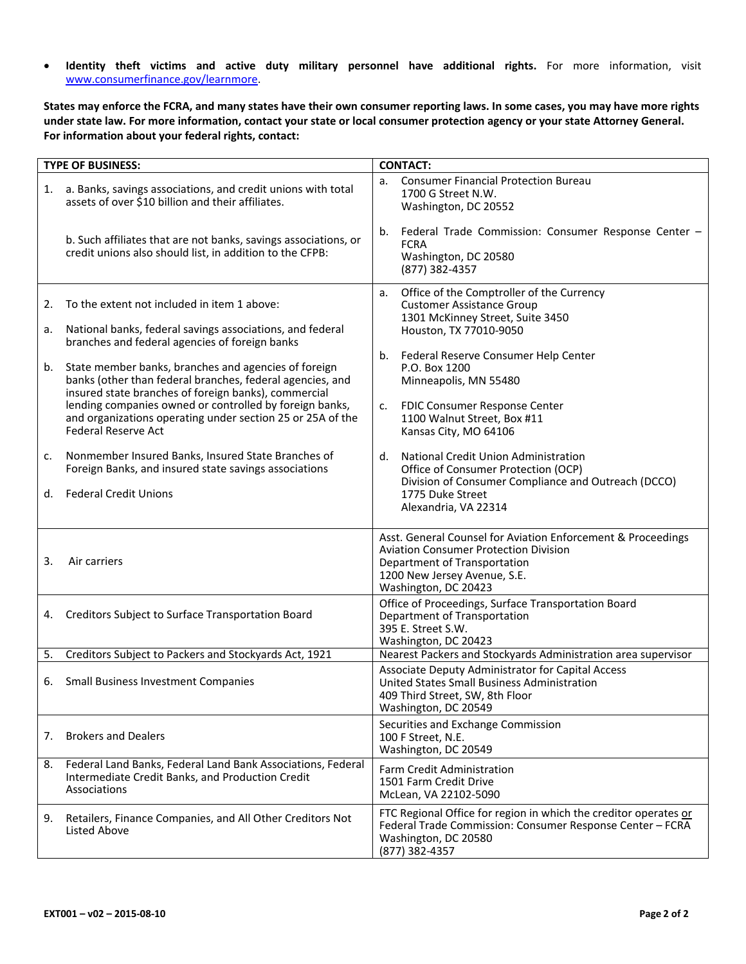• **Identity theft victims and active duty military personnel have additional rights.** For more information, visit [www.consumerfinance.gov/learnmore.](http://www.consumerfinance.gov/learnmore)

**States may enforce the FCRA, and many states have their own consumer reporting laws. In some cases, you may have more rights under state law. For more information, contact your state or local consumer protection agency or your state Attorney General. For information about your federal rights, contact:**

|                            | <b>TYPE OF BUSINESS:</b>                                                                                                                                                                                                                                                                                                                                                                                                                                                                                                                                                                                                                      | <b>CONTACT:</b>                                                                                                                                                                                                                                                                                                                                                                                                                                                                                                                  |
|----------------------------|-----------------------------------------------------------------------------------------------------------------------------------------------------------------------------------------------------------------------------------------------------------------------------------------------------------------------------------------------------------------------------------------------------------------------------------------------------------------------------------------------------------------------------------------------------------------------------------------------------------------------------------------------|----------------------------------------------------------------------------------------------------------------------------------------------------------------------------------------------------------------------------------------------------------------------------------------------------------------------------------------------------------------------------------------------------------------------------------------------------------------------------------------------------------------------------------|
| 1.                         | a. Banks, savings associations, and credit unions with total<br>assets of over \$10 billion and their affiliates.                                                                                                                                                                                                                                                                                                                                                                                                                                                                                                                             | <b>Consumer Financial Protection Bureau</b><br>a.<br>1700 G Street N.W.<br>Washington, DC 20552                                                                                                                                                                                                                                                                                                                                                                                                                                  |
|                            | b. Such affiliates that are not banks, savings associations, or<br>credit unions also should list, in addition to the CFPB:                                                                                                                                                                                                                                                                                                                                                                                                                                                                                                                   | b.<br>Federal Trade Commission: Consumer Response Center -<br><b>FCRA</b><br>Washington, DC 20580<br>(877) 382-4357                                                                                                                                                                                                                                                                                                                                                                                                              |
| 2.<br>a.<br>b.<br>c.<br>d. | To the extent not included in item 1 above:<br>National banks, federal savings associations, and federal<br>branches and federal agencies of foreign banks<br>State member banks, branches and agencies of foreign<br>banks (other than federal branches, federal agencies, and<br>insured state branches of foreign banks), commercial<br>lending companies owned or controlled by foreign banks,<br>and organizations operating under section 25 or 25A of the<br><b>Federal Reserve Act</b><br>Nonmember Insured Banks, Insured State Branches of<br>Foreign Banks, and insured state savings associations<br><b>Federal Credit Unions</b> | Office of the Comptroller of the Currency<br>a.<br><b>Customer Assistance Group</b><br>1301 McKinney Street, Suite 3450<br>Houston, TX 77010-9050<br>Federal Reserve Consumer Help Center<br>b.<br>P.O. Box 1200<br>Minneapolis, MN 55480<br>FDIC Consumer Response Center<br>c.<br>1100 Walnut Street, Box #11<br>Kansas City, MO 64106<br>d.<br>National Credit Union Administration<br>Office of Consumer Protection (OCP)<br>Division of Consumer Compliance and Outreach (DCCO)<br>1775 Duke Street<br>Alexandria, VA 22314 |
| 3.                         | Air carriers                                                                                                                                                                                                                                                                                                                                                                                                                                                                                                                                                                                                                                  | Asst. General Counsel for Aviation Enforcement & Proceedings<br><b>Aviation Consumer Protection Division</b><br>Department of Transportation<br>1200 New Jersey Avenue, S.E.<br>Washington, DC 20423                                                                                                                                                                                                                                                                                                                             |
| 4.                         | Creditors Subject to Surface Transportation Board                                                                                                                                                                                                                                                                                                                                                                                                                                                                                                                                                                                             | Office of Proceedings, Surface Transportation Board<br>Department of Transportation<br>395 E. Street S.W.<br>Washington, DC 20423                                                                                                                                                                                                                                                                                                                                                                                                |
| 5.                         | Creditors Subject to Packers and Stockyards Act, 1921                                                                                                                                                                                                                                                                                                                                                                                                                                                                                                                                                                                         | Nearest Packers and Stockyards Administration area supervisor                                                                                                                                                                                                                                                                                                                                                                                                                                                                    |
| 6.                         | <b>Small Business Investment Companies</b>                                                                                                                                                                                                                                                                                                                                                                                                                                                                                                                                                                                                    | Associate Deputy Administrator for Capital Access<br>United States Small Business Administration<br>409 Third Street, SW, 8th Floor<br>Washington, DC 20549                                                                                                                                                                                                                                                                                                                                                                      |
| 7.                         | <b>Brokers and Dealers</b>                                                                                                                                                                                                                                                                                                                                                                                                                                                                                                                                                                                                                    | Securities and Exchange Commission<br>100 F Street, N.E.<br>Washington, DC 20549                                                                                                                                                                                                                                                                                                                                                                                                                                                 |
| 8.                         | Federal Land Banks, Federal Land Bank Associations, Federal<br>Intermediate Credit Banks, and Production Credit<br>Associations                                                                                                                                                                                                                                                                                                                                                                                                                                                                                                               | Farm Credit Administration<br>1501 Farm Credit Drive<br>McLean, VA 22102-5090                                                                                                                                                                                                                                                                                                                                                                                                                                                    |
| 9.                         | Retailers, Finance Companies, and All Other Creditors Not<br><b>Listed Above</b>                                                                                                                                                                                                                                                                                                                                                                                                                                                                                                                                                              | FTC Regional Office for region in which the creditor operates or<br>Federal Trade Commission: Consumer Response Center - FCRA<br>Washington, DC 20580<br>(877) 382-4357                                                                                                                                                                                                                                                                                                                                                          |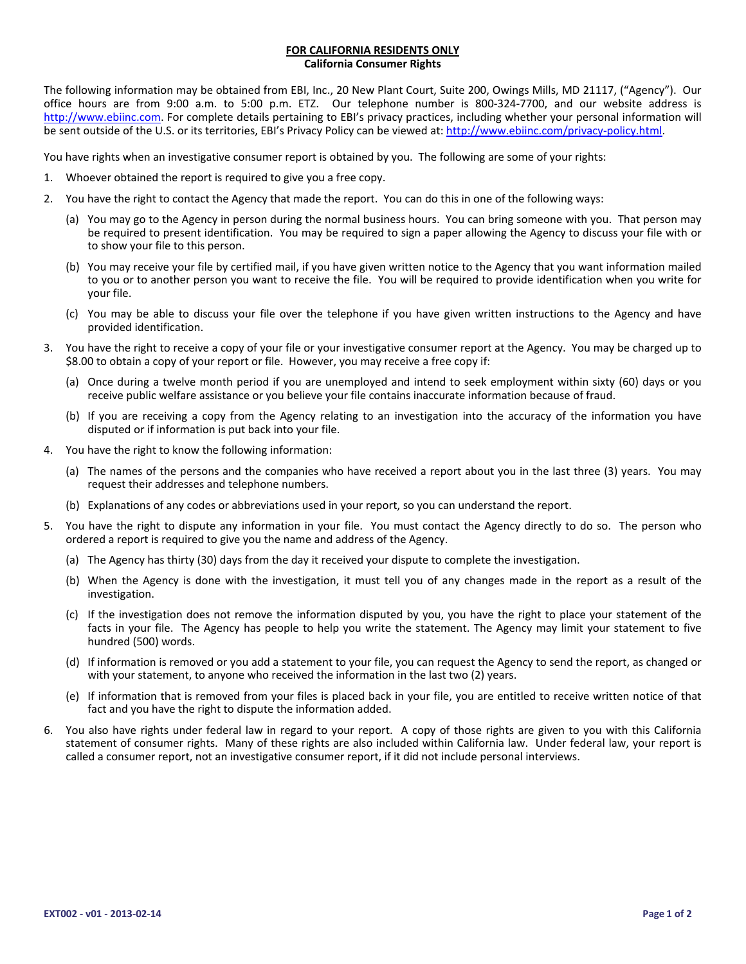#### **FOR CALIFORNIA RESIDENTS ONLY California Consumer Rights**

The following information may be obtained from EBI, Inc., 20 New Plant Court, Suite 200, Owings Mills, MD 21117, ("Agency"). Our office hours are from 9:00 a.m. to 5:00 p.m. ETZ. Our telephone number is 800-324-7700, and our website address is [http://www.ebiinc.com.](http://www.ebiinc.com/) For complete details pertaining to EBI's privacy practices, including whether your personal information will be sent outside of the U.S. or its territories, EBI's Privacy Policy can be viewed at[: http://www.ebiinc.com/privacy-policy.html.](http://www.ebiinc.com/privacy-policy.html)

You have rights when an investigative consumer report is obtained by you. The following are some of your rights:

- 1. Whoever obtained the report is required to give you a free copy.
- 2. You have the right to contact the Agency that made the report. You can do this in one of the following ways:
	- (a) You may go to the Agency in person during the normal business hours. You can bring someone with you. That person may be required to present identification. You may be required to sign a paper allowing the Agency to discuss your file with or to show your file to this person.
	- (b) You may receive your file by certified mail, if you have given written notice to the Agency that you want information mailed to you or to another person you want to receive the file. You will be required to provide identification when you write for your file.
	- (c) You may be able to discuss your file over the telephone if you have given written instructions to the Agency and have provided identification.
- 3. You have the right to receive a copy of your file or your investigative consumer report at the Agency. You may be charged up to \$8.00 to obtain a copy of your report or file. However, you may receive a free copy if:
	- (a) Once during a twelve month period if you are unemployed and intend to seek employment within sixty (60) days or you receive public welfare assistance or you believe your file contains inaccurate information because of fraud.
	- (b) If you are receiving a copy from the Agency relating to an investigation into the accuracy of the information you have disputed or if information is put back into your file.
- 4. You have the right to know the following information:
	- (a) The names of the persons and the companies who have received a report about you in the last three (3) years. You may request their addresses and telephone numbers.
	- (b) Explanations of any codes or abbreviations used in your report, so you can understand the report.
- 5. You have the right to dispute any information in your file. You must contact the Agency directly to do so. The person who ordered a report is required to give you the name and address of the Agency.
	- (a) The Agency has thirty (30) days from the day it received your dispute to complete the investigation.
	- (b) When the Agency is done with the investigation, it must tell you of any changes made in the report as a result of the investigation.
	- (c) If the investigation does not remove the information disputed by you, you have the right to place your statement of the facts in your file. The Agency has people to help you write the statement. The Agency may limit your statement to five hundred (500) words.
	- (d) If information is removed or you add a statement to your file, you can request the Agency to send the report, as changed or with your statement, to anyone who received the information in the last two (2) years.
	- (e) If information that is removed from your files is placed back in your file, you are entitled to receive written notice of that fact and you have the right to dispute the information added.
- 6. You also have rights under federal law in regard to your report. A copy of those rights are given to you with this California statement of consumer rights. Many of these rights are also included within California law. Under federal law, your report is called a consumer report, not an investigative consumer report, if it did not include personal interviews.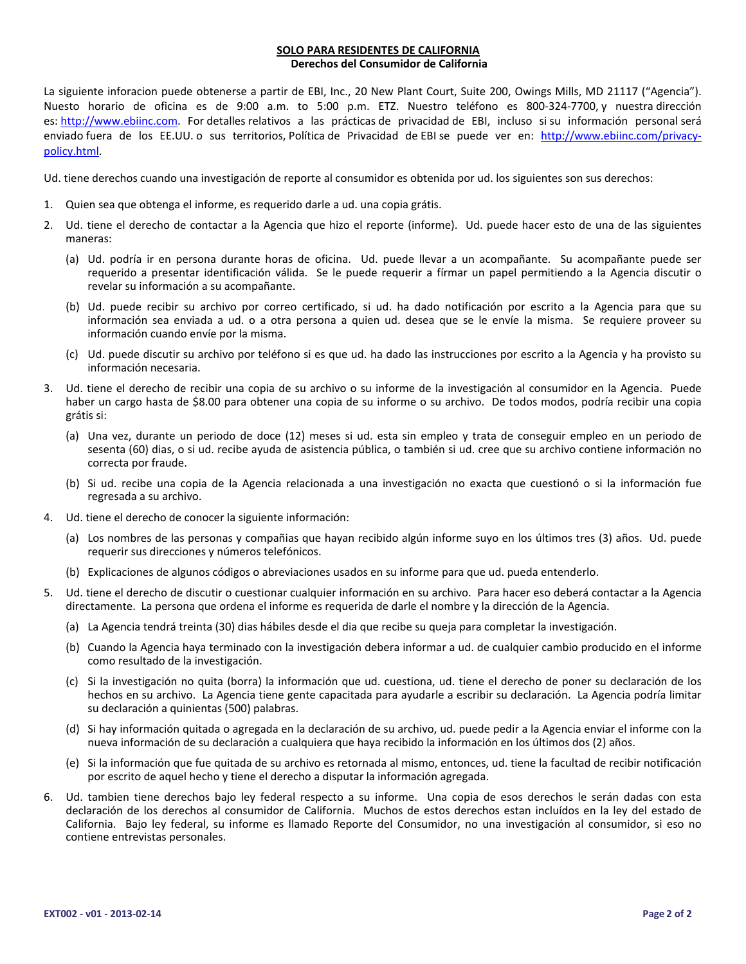### **SOLO PARA RESIDENTES DE CALIFORNIA Derechos del Consumidor de California**

La siguiente inforacion puede obtenerse a partir de EBI, Inc., 20 New Plant Court, Suite 200, Owings Mills, MD 21117 ("Agencia"). Nuesto horario de oficina es de 9:00 a.m. to 5:00 p.m. ETZ. Nuestro teléfono es 800-324-7700, y nuestra dirección es: [http://www.ebiinc.com.](http://www.ebiinc.com/) For detalles relativos a las prácticas de privacidad de EBI, incluso si su información personal será enviado fuera de los EE.UU. o sus territorios, Política de Privacidad de EBI se puede ver en: [http://www.ebiinc.com/privacy](http://www.ebiinc.com/privacy-policy.html)[policy.html.](http://www.ebiinc.com/privacy-policy.html)

Ud. tiene derechos cuando una investigación de reporte al consumidor es obtenida por ud. los siguientes son sus derechos:

- 1. Quien sea que obtenga el informe, es requerido darle a ud. una copia grátis.
- 2. Ud. tiene el derecho de contactar a la Agencia que hizo el reporte (informe). Ud. puede hacer esto de una de las siguientes maneras:
	- (a) Ud. podría ir en persona durante horas de oficina. Ud. puede llevar a un acompañante. Su acompañante puede ser requerido a presentar identificación válida. Se le puede requerir a fírmar un papel permitiendo a la Agencia discutir o revelar su información a su acompañante.
	- (b) Ud. puede recibir su archivo por correo certificado, si ud. ha dado notificación por escrito a la Agencia para que su información sea enviada a ud. o a otra persona a quien ud. desea que se le envíe la misma. Se requiere proveer su información cuando envíe por la misma.
	- (c) Ud. puede discutir su archivo por teléfono si es que ud. ha dado las instrucciones por escrito a la Agencia y ha provisto su información necesaria.
- 3. Ud. tiene el derecho de recibir una copia de su archivo o su informe de la investigación al consumidor en la Agencia. Puede haber un cargo hasta de \$8.00 para obtener una copia de su informe o su archivo. De todos modos, podría recibir una copia grátis si:
	- (a) Una vez, durante un periodo de doce (12) meses si ud. esta sin empleo y trata de conseguir empleo en un periodo de sesenta (60) dias, o si ud. recibe ayuda de asistencia pública, o también si ud. cree que su archivo contiene información no correcta por fraude.
	- (b) Si ud. recibe una copia de la Agencia relacionada a una investigación no exacta que cuestionó o si la información fue regresada a su archivo.
- 4. Ud. tiene el derecho de conocer la siguiente información:
	- (a) Los nombres de las personas y compañias que hayan recibido algún informe suyo en los últimos tres (3) años. Ud. puede requerir sus direcciones y números telefónicos.
	- (b) Explicaciones de algunos códigos o abreviaciones usados en su informe para que ud. pueda entenderlo.
- 5. Ud. tiene el derecho de discutir o cuestionar cualquier información en su archivo. Para hacer eso deberá contactar a la Agencia directamente. La persona que ordena el informe es requerida de darle el nombre y la dirección de la Agencia.
	- (a) La Agencia tendrá treinta (30) dias hábiles desde el dia que recibe su queja para completar la investigación.
	- (b) Cuando la Agencia haya terminado con la investigación debera informar a ud. de cualquier cambio producido en el informe como resultado de la investigación.
	- (c) Si la investigación no quita (borra) la información que ud. cuestiona, ud. tiene el derecho de poner su declaración de los hechos en su archivo. La Agencia tiene gente capacitada para ayudarle a escribir su declaración. La Agencia podría limitar su declaración a quinientas (500) palabras.
	- (d) Si hay información quitada o agregada en la declaración de su archivo, ud. puede pedir a la Agencia enviar el informe con la nueva información de su declaración a cualquiera que haya recibido la información en los últimos dos (2) años.
	- (e) Si la información que fue quitada de su archivo es retornada al mismo, entonces, ud. tiene la facultad de recibir notificación por escrito de aquel hecho y tiene el derecho a disputar la información agregada.
- 6. Ud. tambien tiene derechos bajo ley federal respecto a su informe. Una copia de esos derechos le serán dadas con esta declaración de los derechos al consumidor de California. Muchos de estos derechos estan incluídos en la ley del estado de California. Bajo ley federal, su informe es llamado Reporte del Consumidor, no una investigación al consumidor, si eso no contiene entrevistas personales.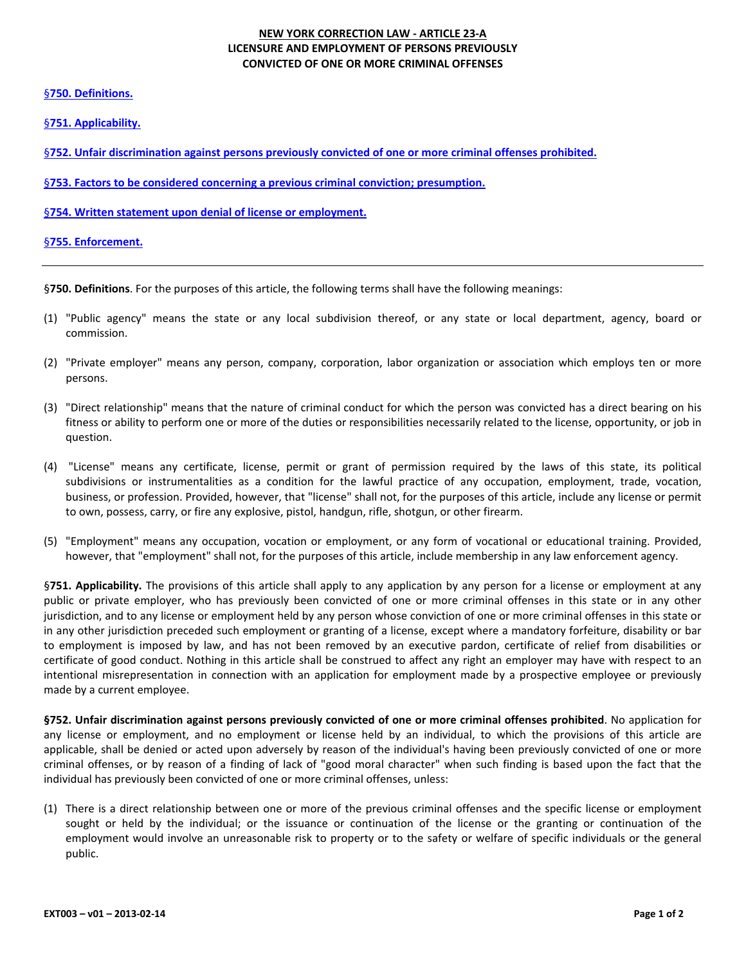## **NEW YORK CORRECTION LAW - ARTICLE 23-A LICENSURE AND EMPLOYMENT OF PERSONS PREVIOUSLY CONVICTED OF ONE OR MORE CRIMINAL OFFENSES**

§**[750. Definitions.](#page-6-0)**

§**[751. Applicability.](#page-6-1)**

§**[752. Unfair discrimination against persons previously convicted of one or more criminal offenses prohibited.](#page-6-2)**

§**[753. Factors to be considered concerning a previous criminal conviction;](#page-6-3) presumption.**

§**[754. Written statement upon denial of license or employment.](#page-7-0)**

## §**[755. Enforcement.](#page-7-1)**

<span id="page-6-0"></span>§750. Definitions. For the purposes of this article, the following terms shall have the following meanings:

- (1) "Public agency" means the state or any local subdivision thereof, or any state or local department, agency, board or commission.
- (2) "Private employer" means any person, company, corporation, labor organization or association which employs ten or more persons.
- (3) "Direct relationship" means that the nature of criminal conduct for which the person was convicted has a direct bearing on his fitness or ability to perform one or more of the duties or responsibilities necessarily related to the license, opportunity, or job in question.
- (4) "License" means any certificate, license, permit or grant of permission required by the laws of this state, its political subdivisions or instrumentalities as a condition for the lawful practice of any occupation, employment, trade, vocation, business, or profession. Provided, however, that "license" shall not, for the purposes of this article, include any license or permit to own, possess, carry, or fire any explosive, pistol, handgun, rifle, shotgun, or other firearm.
- (5) "Employment" means any occupation, vocation or employment, or any form of vocational or educational training. Provided, however, that "employment" shall not, for the purposes of this article, include membership in any law enforcement agency.

<span id="page-6-1"></span>§751. Applicability. The provisions of this article shall apply to any application by any person for a license or employment at any public or private employer, who has previously been convicted of one or more criminal offenses in this state or in any other jurisdiction, and to any license or employment held by any person whose conviction of one or more criminal offenses in this state or in any other jurisdiction preceded such employment or granting of a license, except where a mandatory forfeiture, disability or bar to employment is imposed by law, and has not been removed by an executive pardon, certificate of relief from disabilities or certificate of good conduct. Nothing in this article shall be construed to affect any right an employer may have with respect to an intentional misrepresentation in connection with an application for employment made by a prospective employee or previously made by a current employee.

<span id="page-6-2"></span>**§752. Unfair discrimination against persons previously convicted of one or more criminal offenses prohibited**. No application for any license or employment, and no employment or license held by an individual, to which the provisions of this article are applicable, shall be denied or acted upon adversely by reason of the individual's having been previously convicted of one or more criminal offenses, or by reason of a finding of lack of "good moral character" when such finding is based upon the fact that the individual has previously been convicted of one or more criminal offenses, unless:

<span id="page-6-3"></span>(1) There is a direct relationship between one or more of the previous criminal offenses and the specific license or employment sought or held by the individual; or the issuance or continuation of the license or the granting or continuation of the employment would involve an unreasonable risk to property or to the safety or welfare of specific individuals or the general public.